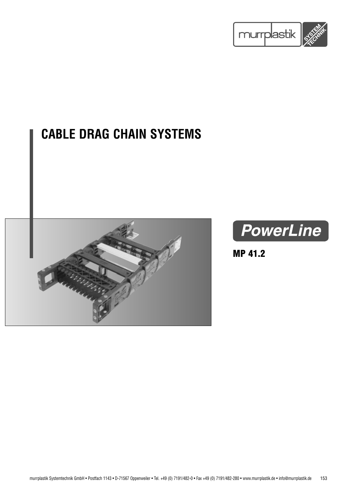

# **CABLE DRAG CHAIN SYSTEMS**





**MP 41.2**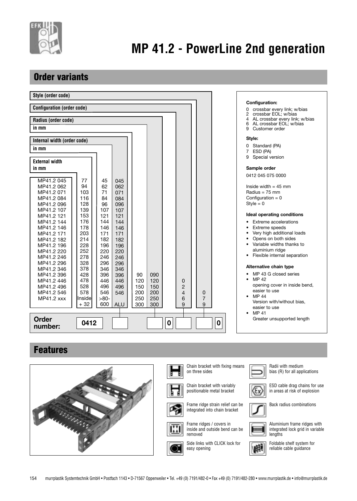

## **Order variants**

| Style (order code)                                                                      |                          |                                                                     |
|-----------------------------------------------------------------------------------------|--------------------------|---------------------------------------------------------------------|
| <b>Configuration (order code)</b>                                                       |                          | <b>Configuration:</b>                                               |
|                                                                                         |                          | 0 crossbar every link; w/bias<br>crossbar EOL; w/bias<br>2          |
| Radius (order code)                                                                     |                          | AL crossbar every link; w/bias<br>4<br>AL crossbar EOL; w/bias<br>6 |
| in mm                                                                                   |                          | Customer order<br>9                                                 |
| Internal width (order code)                                                             |                          | Style:                                                              |
| in mm                                                                                   |                          | 0 Standard (PA)<br>7 ESD (PA)                                       |
|                                                                                         |                          | Special version<br>9                                                |
| <b>External width</b><br>in mm                                                          |                          | Sample order                                                        |
|                                                                                         |                          |                                                                     |
| MP41.2 045<br>77<br>45<br>045                                                           |                          | 0412 045 075 0000                                                   |
| 94<br>MP41.2 062<br>62<br>062                                                           |                          | Inside width $=$ 45 mm                                              |
| 103<br>71<br>MP41.2 071<br>071                                                          |                          | Radius = $75 \text{ mm}$                                            |
| 116<br>84<br>MP41.2 084<br>084                                                          |                          | Configuration = $0$                                                 |
| 128<br>96<br>MP41.2 096<br>096                                                          |                          | $Style = 0$                                                         |
| 139<br>MP41.2 107<br>107<br>107                                                         |                          | <b>Ideal operating conditions</b>                                   |
| 153<br>121<br>MP41.2 121<br>121<br>176<br>144                                           |                          |                                                                     |
| MP41.2 144<br>144<br>178<br>MP41.2 146<br>146<br>146                                    |                          | Extreme accelerations<br>Extreme speeds                             |
| 203<br>171<br>171<br>MP41.2 171                                                         |                          | Very high additional loads                                          |
| MP41.2 182<br>214<br>182<br>182                                                         |                          | Opens on both sides                                                 |
| 228<br>196<br>196<br>MP41.2 196                                                         |                          | Variable widths thanks to                                           |
| 252<br>220<br>220<br>MP41.2 220                                                         |                          | aluminium ridge                                                     |
| 278<br>246<br>246<br>MP41.2 246                                                         |                          | • Flexible internal separation                                      |
| 328<br>296<br>296<br>MP41.2 296                                                         |                          |                                                                     |
| 378<br>346<br>346<br>MP41.2 346                                                         |                          | Alternative chain type                                              |
| 428<br>396<br>396<br>90<br>090<br>MP41.2 396                                            |                          | MP 43 G closed series<br>MP 42<br>$\bullet$                         |
| MP41.2 446<br>478<br>446<br>446<br>120<br>120                                           | 0                        | opening cover in inside bend,                                       |
| 528<br>496<br>150<br>150<br>MP41.2 496<br>496<br>578<br>200<br>MP41.2 546<br>546<br>200 | 2<br>4                   | easier to use                                                       |
| 546<br>250<br>MP41.2 xxx<br>$>80-$<br>250<br>Inside                                     | 0<br>$\overline{7}$<br>6 | MP 44<br>٠                                                          |
| $+32$<br>600<br>300<br>300<br><b>ALU</b>                                                | 9<br>9                   | Version with/without bias,                                          |
|                                                                                         |                          | easier to use                                                       |
| <b>Order</b>                                                                            |                          | MP 41<br>$\bullet$<br>Greater unsupported length                    |
| 0412<br>number:                                                                         | $\boldsymbol{0}$         | 0                                                                   |
|                                                                                         |                          |                                                                     |
| Eagturas                                                                                |                          |                                                                     |

## **Features**

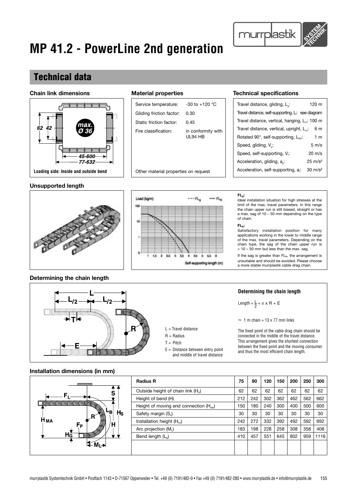### **Technical data**

#### **Chain link dimensions**



#### **Unsupported length**



Service temperature: -30 to +120 °C

Fire classification: in conformity with

UL94 HB

Gliding friction factor: 0.30 Static friction factor: 0.45

#### **Material properties Technical specifications**

murrplastik

| Travel distance, gliding, L <sub>a</sub> :                  | 120 m              |
|-------------------------------------------------------------|--------------------|
| Travel distance, self-supporting, L: see diagram            |                    |
| Travel distance, vertical, hanging, L <sub>th</sub> : 100 m |                    |
| Travel distance, vertical, upright, L <sub>"</sub> .        | 6 m                |
| Rotated 90°, self-supporting, L <sub>an</sub> :             | 1 <sub>m</sub>     |
| Speed, gliding, V <sub>a</sub> :                            | $5 \text{ m/s}$    |
| Speed, self-supporting, V.:                                 | $20 \text{ m/s}$   |
| Acceleration, gliding, a.:                                  | $25 \text{ m/s}^2$ |
| Acceleration, self-supporting, a.:                          | $30 \text{ m/s}^2$ |

### **FLg:**

Ideal installation situation for high stresses at the limit of the max. travel parameters. In this range the chain upper run is still biased, straight or has a max. sag of 10 – 50 mm depending on the type of chain.

#### **FLb:**

Satisfactory installation position for many applications working in the lower to middle range of the max. travel parameters. Depending on the chain type, the sag of the chain upper run is > 10 – 50 mm but less than the max. sag.

If the sag is greater than  $FL_b$ , the arrangement is unsuitable and should be avoided. Please choose a more stable murrplastik cable drag chain.

### **Determining the chain length**



### **Installation dimensions (in mm)**



and middle of travel distance

#### **Determining the chain length**

Length =  $\frac{L}{2}$  +  $\pi$  x R + E

 $\approx$  1 m chain = 13 x 77 mm links

The fixed point of the cable drag chain should be connected in the middle of the travel distance. This arrangement gives the shortest connection between the fixed point and the moving consumer and thus the most efficient chain length.

| <b>Radius R</b>                                | 75  | 90  | 120 | 150 | 200 | 250 | 300  |
|------------------------------------------------|-----|-----|-----|-----|-----|-----|------|
| Outside height of chain link (H <sub>c</sub> ) | 62  | 62  | 62  | 62  | 62  | 62  | 62   |
| Height of bend (H)                             | 212 | 242 | 302 | 362 | 462 | 562 | 662  |
| Height of moving end connection $(H_{MA})$     | 150 | 180 | 240 | 300 | 400 | 500 | 600  |
| Safety margin (S.)                             | 30  | 30  | 30  | 30  | 30  | 30  | 30   |
| Installation height (Hsv)                      | 242 | 272 | 332 | 392 | 492 | 592 | 692  |
| Arc projection $(M1)$                          | 183 | 198 | 228 | 258 | 308 | 358 | 408  |
| Bend length $(La)$                             | 410 | 457 | 551 | 645 | 802 | 959 | 1116 |
|                                                |     |     |     |     |     |     |      |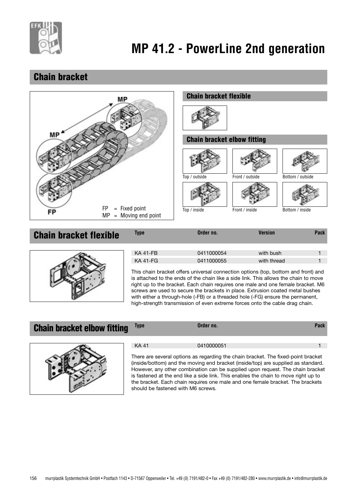

## **Chain bracket**



## **Chain bracket flexible** Type Order no. Version Pack KA 41-FB 0411000054 with bush 1 KA 41-FG 0411000055 with thread This chain bracket offers universal connection options (top, bottom and front) and

is attached to the ends of the chain like a side link. This allows the chain to move right up to the bracket. Each chain requires one male and one female bracket. M6 screws are used to secure the brackets in place. Extrusion coated metal bushes with either a through-hole (-FB) or a threaded hole (-FG) ensure the permanent, high-strength transmission of even extreme forces onto the cable drag chain.

### **Chain bracket elbow fitting** Type **Discussion** Order no. **Chain brack** Pack



| $\Lambda$ <sup>-</sup><br>z | 0410000051 |  |
|-----------------------------|------------|--|
|                             |            |  |

There are several options as regarding the chain bracket. The fixed-point bracket (inside/bottom) and the moving end bracket (inside/top) are supplied as standard. However, any other combination can be supplied upon request. The chain bracket is fastened at the end like a side link. This enables the chain to move right up to the bracket. Each chain requires one male and one female bracket. The brackets should be fastened with M6 screws.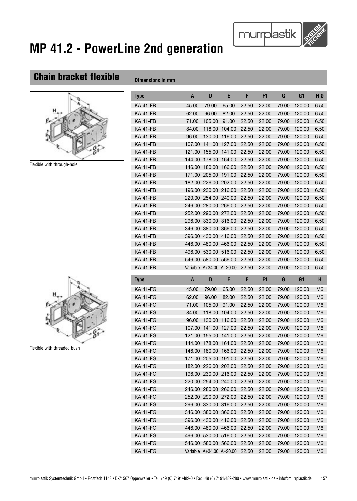## **Chain bracket flexible**  $\theta$



Flexible with through-hole

| וווווו ווו טווטוטווטע |        |                          |        |       |       |       |                |                |
|-----------------------|--------|--------------------------|--------|-------|-------|-------|----------------|----------------|
| Type                  | A      | D                        | E      | F     | F1    | G     | G <sub>1</sub> | HØ             |
| KA 41-FB              |        |                          |        |       |       |       |                |                |
|                       | 45.00  | 79.00                    | 65.00  | 22.50 | 22.00 | 79.00 | 120.00         | 6.50           |
| KA 41-FB              | 62.00  | 96.00                    | 82.00  | 22.50 | 22.00 | 79.00 | 120.00         | 6.50           |
| <b>KA 41-FB</b>       | 71.00  | 105.00                   | 91.00  | 22.50 | 22.00 | 79.00 | 120.00         | 6.50           |
| <b>KA 41-FB</b>       | 84.00  | 118.00                   | 104.00 | 22.50 | 22.00 | 79.00 | 120.00         | 6.50           |
| <b>KA 41-FB</b>       | 96.00  | 130.00                   | 116.00 | 22.50 | 22.00 | 79.00 | 120.00         | 6.50           |
| KA 41-FB              | 107.00 | 141.00                   | 127.00 | 22.50 | 22.00 | 79.00 | 120.00         | 6.50           |
| KA 41-FB              | 121.00 | 155.00                   | 141.00 | 22.50 | 22.00 | 79.00 | 120.00         | 6.50           |
| <b>KA 41-FB</b>       | 144.00 | 178.00                   | 164.00 | 22.50 | 22.00 | 79.00 | 120.00         | 6.50           |
| <b>KA 41-FB</b>       | 146.00 | 180.00                   | 166.00 | 22.50 | 22.00 | 79.00 | 120.00         | 6.50           |
| KA 41-FB              | 171.00 | 205.00                   | 191.00 | 22.50 | 22.00 | 79.00 | 120.00         | 6.50           |
| KA 41-FB              |        | 182.00 226.00            | 202.00 | 22.50 | 22.00 | 79.00 | 120.00         | 6.50           |
| KA 41-FB              |        | 196.00 230.00 216.00     |        | 22.50 | 22.00 | 79.00 | 120.00         | 6.50           |
| <b>KA 41-FB</b>       | 220.00 | 254.00                   | 240.00 | 22.50 | 22.00 | 79.00 | 120.00         | 6.50           |
| KA 41-FB              | 246.00 | 280.00                   | 266.00 | 22.50 | 22.00 | 79.00 | 120.00         | 6.50           |
| KA 41-FB              |        | 252.00 290.00 272.00     |        | 22.50 | 22.00 | 79.00 | 120.00         | 6.50           |
| KA 41-FB              | 296.00 | 330.00                   | 316.00 | 22.50 | 22.00 | 79.00 | 120.00         | 6.50           |
| KA 41-FB              | 346.00 | 380.00                   | 366.00 | 22.50 | 22.00 | 79.00 | 120.00         | 6.50           |
| KA 41-FB              | 396.00 | 430.00                   | 416.00 | 22.50 | 22.00 | 79.00 | 120.00         | 6.50           |
| KA 41-FB              | 446.00 | 480.00                   | 466.00 | 22.50 | 22.00 | 79.00 | 120.00         | 6.50           |
| KA 41-FB              | 496.00 | 530.00 516.00            |        | 22.50 | 22.00 | 79.00 | 120.00         | 6.50           |
| KA 41-FB              | 546.00 | 580.00                   | 566.00 | 22.50 | 22.00 | 79.00 | 120.00         | 6.50           |
| KA 41-FB              |        | Variable A+34.00 A+20.00 |        | 22.50 | 22.00 | 79.00 | 120.00         | 6.50           |
| Type                  | A      | D                        | E      | F     | F1    | G     | G <sub>1</sub> | H              |
| KA 41-FG              | 45.00  | 79.00                    | 65.00  | 22.50 | 22.00 | 79.00 | 120.00         | M <sub>6</sub> |
| KA 41-FG              | 62.00  | 96.00                    | 82.00  | 22.50 | 22.00 | 79.00 | 120.00         | M <sub>6</sub> |
| KA 41-FG              | 71.00  | 105.00                   | 91.00  | 22.50 | 22.00 | 79.00 | 120.00         | M <sub>6</sub> |
| KA 41-FG              | 84.00  | 118.00                   | 104.00 | 22.50 | 22.00 | 79.00 | 120.00         | M <sub>6</sub> |
| KA 41-FG              | 96.00  | 130.00                   | 116.00 | 22.50 | 22.00 | 79.00 | 120.00         | M <sub>6</sub> |

murrplastik

Flexible with threaded bush

| KA 41-FG | 45.00  | 79.00                    | 65.00  | 22.50 | 22.00 | 79.00 | 120.00 | M6             |
|----------|--------|--------------------------|--------|-------|-------|-------|--------|----------------|
| KA 41-FG | 62.00  | 96.00                    | 82.00  | 22.50 | 22.00 | 79.00 | 120.00 | M <sub>6</sub> |
| KA 41-FG | 71.00  | 105.00                   | 91.00  | 22.50 | 22.00 | 79.00 | 120.00 | M <sub>6</sub> |
| KA 41-FG | 84.00  | 118.00                   | 104.00 | 22.50 | 22.00 | 79.00 | 120.00 | M <sub>6</sub> |
| KA 41-FG | 96.00  | 130.00                   | 116.00 | 22.50 | 22.00 | 79.00 | 120.00 | M <sub>6</sub> |
| KA 41-FG | 107.00 | 141.00                   | 127.00 | 22.50 | 22.00 | 79.00 | 120.00 | M <sub>6</sub> |
| KA 41-FG | 121.00 | 155.00                   | 141.00 | 22.50 | 22.00 | 79.00 | 120.00 | M <sub>6</sub> |
| KA 41-FG | 144.00 | 178.00                   | 164.00 | 22.50 | 22.00 | 79.00 | 120.00 | M <sub>6</sub> |
| KA 41-FG | 146.00 | 180.00                   | 166.00 | 22.50 | 22.00 | 79.00 | 120.00 | M <sub>6</sub> |
| KA 41-FG | 171.00 | 205.00                   | 191.00 | 22.50 | 22.00 | 79.00 | 120.00 | M <sub>6</sub> |
| KA 41-FG | 182.00 | 226.00                   | 202.00 | 22.50 | 22.00 | 79.00 | 120.00 | M <sub>6</sub> |
| KA 41-FG | 196.00 | 230.00                   | 216.00 | 22.50 | 22.00 | 79.00 | 120.00 | M <sub>6</sub> |
| KA 41-FG | 220,00 | 254.00                   | 240.00 | 22.50 | 22.00 | 79.00 | 120.00 | M <sub>6</sub> |
| KA 41-FG | 246.00 | 280.00                   | 266.00 | 22.50 | 22.00 | 79.00 | 120.00 | M <sub>6</sub> |
| KA 41-FG | 252.00 | 290.00                   | 272.00 | 22.50 | 22.00 | 79.00 | 120.00 | M <sub>6</sub> |
| KA 41-FG | 296.00 | 330.00                   | 316.00 | 22.50 | 22.00 | 79.00 | 120.00 | M <sub>6</sub> |
| KA 41-FG | 346.00 | 380.00                   | 366.00 | 22.50 | 22.00 | 79.00 | 120.00 | M <sub>6</sub> |
| KA 41-FG | 396.00 | 430.00                   | 416.00 | 22.50 | 22.00 | 79.00 | 120.00 | M <sub>6</sub> |
| KA 41-FG | 446.00 | 480.00                   | 466.00 | 22.50 | 22.00 | 79.00 | 120.00 | M <sub>6</sub> |
| KA 41-FG | 496.00 | 530.00                   | 516.00 | 22.50 | 22.00 | 79.00 | 120.00 | M <sub>6</sub> |
| KA 41-FG | 546.00 | 580.00                   | 566.00 | 22.50 | 22.00 | 79.00 | 120.00 | M <sub>6</sub> |
| KA 41-FG |        | Variable A+34.00 A+20.00 |        | 22.50 | 22.00 | 79.00 | 120.00 | M <sub>6</sub> |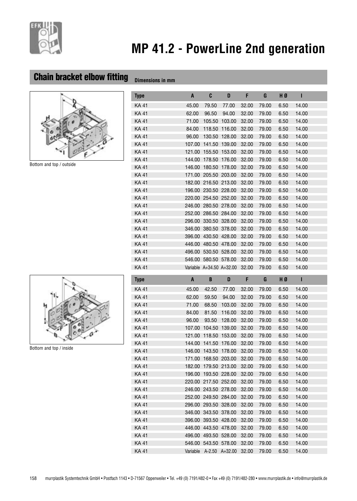

## **Chain bracket elbow fitting Dimensions in mm**



Bottom and top / outside

| Type  | A      | C                        | D      | F     | G     | HØ   | п     |
|-------|--------|--------------------------|--------|-------|-------|------|-------|
| KA 41 | 45.00  | 79.50                    | 77.00  | 32.00 | 79.00 | 6.50 | 14.00 |
| KA 41 | 62.00  | 96.50                    | 94.00  | 32.00 | 79.00 | 6.50 | 14.00 |
| KA 41 | 71.00  | 105.50                   | 103.00 | 32.00 | 79.00 | 6.50 | 14.00 |
| KA 41 | 84.00  | 118.50                   | 116.00 | 32.00 | 79.00 | 6.50 | 14.00 |
| KA 41 | 96.00  | 130.50                   | 128.00 | 32.00 | 79.00 | 6.50 | 14.00 |
| KA 41 | 107.00 | 141.50                   | 139.00 | 32.00 | 79.00 | 6.50 | 14.00 |
| KA 41 | 121.00 | 155.50                   | 153.00 | 32.00 | 79.00 | 6.50 | 14.00 |
| KA 41 | 144.00 | 178.50                   | 176.00 | 32.00 | 79.00 | 6.50 | 14.00 |
| KA 41 | 146.00 | 180.50                   | 178.00 | 32.00 | 79.00 | 6.50 | 14.00 |
| KA 41 |        | 171.00 205.50            | 203.00 | 32.00 | 79.00 | 6.50 | 14.00 |
| KA 41 | 182.00 | 216.50                   | 213.00 | 32.00 | 79.00 | 6.50 | 14.00 |
| KA 41 | 196.00 | 230.50                   | 228.00 | 32.00 | 79.00 | 6.50 | 14.00 |
| KA 41 | 220.00 | 254.50                   | 252.00 | 32.00 | 79.00 | 6.50 | 14.00 |
| KA 41 | 246.00 | 280.50                   | 278,00 | 32.00 | 79.00 | 6.50 | 14.00 |
| KA 41 | 252.00 | 286.50                   | 284.00 | 32.00 | 79.00 | 6.50 | 14.00 |
| KA 41 | 296.00 | 330.50                   | 328.00 | 32.00 | 79.00 | 6.50 | 14.00 |
| KA 41 | 346.00 | 380.50                   | 378.00 | 32.00 | 79.00 | 6.50 | 14.00 |
| KA 41 | 396.00 | 430.50                   | 428.00 | 32.00 | 79.00 | 6.50 | 14.00 |
| KA 41 | 446.00 | 480.50                   | 478.00 | 32.00 | 79.00 | 6.50 | 14.00 |
| KA 41 | 496.00 | 530.50                   | 528.00 | 32.00 | 79.00 | 6.50 | 14.00 |
| KA 41 | 546.00 | 580.50 578.00            |        | 32.00 | 79.00 | 6.50 | 14.00 |
| KA 41 |        | Variable A+34.50 A+32.00 |        | 32.00 | 79.00 | 6.50 | 14.00 |



Bottom and top / inside

| Type  | A      | B                    | D                       | F.    | G     | HØ   | н     |
|-------|--------|----------------------|-------------------------|-------|-------|------|-------|
| KA 41 | 45.00  | 42.50                | 77.00                   | 32.00 | 79.00 | 6.50 | 14.00 |
| KA 41 | 62.00  | 59.50                | 94.00                   | 32.00 | 79.00 | 6.50 | 14.00 |
| KA 41 | 71.00  | 68.50                | 103.00                  | 32.00 | 79.00 | 6.50 | 14.00 |
| KA 41 | 84.00  | 81.50                | 116.00                  | 32.00 | 79.00 | 6.50 | 14.00 |
| KA 41 | 96.00  | 93.50                | 128.00                  | 32.00 | 79.00 | 6.50 | 14.00 |
| KA 41 | 107.00 | 104.50               | 139.00                  | 32.00 | 79.00 | 6.50 | 14.00 |
| KA 41 | 121.00 | 118.50 153.00        |                         | 32.00 | 79.00 | 6.50 | 14.00 |
| KA 41 | 144.00 | 141.50 176.00        |                         | 32.00 | 79.00 | 6.50 | 14.00 |
| KA 41 | 146.00 | 143.50 178.00        |                         | 32.00 | 79.00 | 6.50 | 14.00 |
| KA 41 | 171.00 |                      | 168.50 203.00           | 32.00 | 79.00 | 6.50 | 14.00 |
| KA 41 | 182.00 | 179.50 213.00        |                         | 32.00 | 79.00 | 6.50 | 14.00 |
| KA 41 | 196.00 | 193.50 228.00        |                         | 32.00 | 79.00 | 6.50 | 14.00 |
| KA 41 |        | 220.00 217.50 252.00 |                         | 32.00 | 79.00 | 6.50 | 14.00 |
| KA 41 |        | 246.00 243.50 278.00 |                         | 32.00 | 79.00 | 6.50 | 14.00 |
| KA 41 |        | 252.00 249.50 284.00 |                         | 32.00 | 79.00 | 6.50 | 14.00 |
| KA 41 |        | 296.00 293.50 328.00 |                         | 32.00 | 79.00 | 6.50 | 14.00 |
| KA 41 |        | 346.00 343.50 378.00 |                         | 32.00 | 79.00 | 6.50 | 14.00 |
| KA 41 |        | 396.00 393.50 428.00 |                         | 32.00 | 79.00 | 6.50 | 14.00 |
| KA 41 |        | 446.00 443.50 478.00 |                         | 32.00 | 79.00 | 6.50 | 14.00 |
| KA 41 | 496.00 | 493.50 528.00        |                         | 32.00 | 79.00 | 6.50 | 14.00 |
| KA 41 |        | 546.00 543.50 578.00 |                         | 32.00 | 79.00 | 6.50 | 14.00 |
| KA 41 |        |                      | Variable A-2.50 A+32.00 | 32.00 | 79.00 | 6.50 | 14.00 |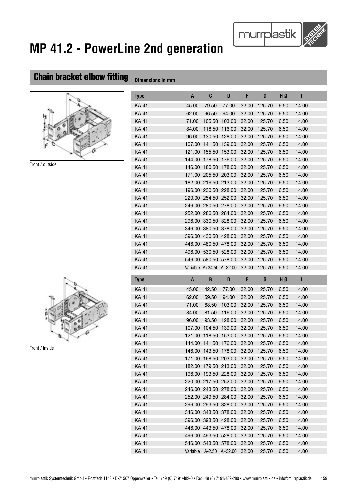## **Chain bracket elbow fitting Dimensions in mm**



Front / outside

| Type  | $\mathbf{A}$  | C                        | D      | F     | G      | HØ   | Т     |
|-------|---------------|--------------------------|--------|-------|--------|------|-------|
| KA 41 | 45.00         | 79.50                    | 77.00  | 32.00 | 125.70 | 6.50 | 14.00 |
| KA 41 | 62.00         | 96.50                    | 94.00  | 32.00 | 125.70 | 6.50 | 14.00 |
| KA 41 | 71.00         | 105.50                   | 103.00 | 32.00 | 125.70 | 6.50 | 14.00 |
| KA 41 | 84.00         | 118.50                   | 116.00 | 32.00 | 125.70 | 6.50 | 14.00 |
| KA 41 | 96.00         | 130.50                   | 128.00 | 32.00 | 125.70 | 6.50 | 14.00 |
| KA 41 | 107.00        | 141.50                   | 139.00 | 32.00 | 125.70 | 6.50 | 14.00 |
| KA 41 | 121.00        | 155.50                   | 153.00 | 32.00 | 125.70 | 6.50 | 14.00 |
| KA 41 | 144.00        | 178.50                   | 176.00 | 32.00 | 125.70 | 6.50 | 14.00 |
| KA 41 | 146.00        | 180.50                   | 178.00 | 32.00 | 125.70 | 6.50 | 14.00 |
| KA 41 | 171.00        | 205.50                   | 203.00 | 32.00 | 125.70 | 6.50 | 14.00 |
| KA 41 | 182.00        | 216.50                   | 213.00 | 32.00 | 125.70 | 6.50 | 14.00 |
| KA 41 | 196.00 230.50 |                          | 228.00 | 32.00 | 125.70 | 6.50 | 14.00 |
| KA 41 | 220.00        | 254.50                   | 252.00 | 32.00 | 125.70 | 6.50 | 14.00 |
| KA 41 | 246.00        | 280.50                   | 278.00 | 32.00 | 125.70 | 6.50 | 14.00 |
| KA 41 | 252.00        | 286.50                   | 284.00 | 32.00 | 125.70 | 6.50 | 14.00 |
| KA 41 | 296.00        | 330.50                   | 328.00 | 32.00 | 125.70 | 6.50 | 14.00 |
| KA 41 | 346.00        | 380.50                   | 378.00 | 32.00 | 125.70 | 6.50 | 14.00 |
| KA 41 | 396.00        | 430.50                   | 428.00 | 32.00 | 125.70 | 6.50 | 14.00 |
| KA 41 | 446.00        | 480.50                   | 478.00 | 32.00 | 125.70 | 6.50 | 14.00 |
| KA 41 | 496.00        | 530.50                   | 528.00 | 32.00 | 125.70 | 6.50 | 14.00 |
| KA 41 |               | 546.00 580.50 578.00     |        | 32.00 | 125.70 | 6.50 | 14.00 |
| KA 41 |               | Variable A+34.50 A+32.00 |        | 32.00 | 125.70 | 6.50 | 14.00 |



Front / inside

| Type        | A        | B             | D             | F     | G      | HØ   | ı     |
|-------------|----------|---------------|---------------|-------|--------|------|-------|
| KA 41       | 45.00    | 42.50         | 77.00         | 32.00 | 125.70 | 6.50 | 14.00 |
| <b>KA41</b> | 62.00    | 59.50         | 94.00         | 32.00 | 125.70 | 6.50 | 14.00 |
| <b>KA41</b> | 71.00    | 68.50         | 103.00        | 32.00 | 125.70 | 6.50 | 14.00 |
| KA 41       | 84.00    | 81.50         | 116.00        | 32.00 | 125.70 | 6.50 | 14.00 |
| <b>KA41</b> | 96.00    | 93.50         | 128.00        | 32.00 | 125.70 | 6.50 | 14.00 |
| KA 41       | 107.00   | 104.50        | 139.00        | 32.00 | 125.70 | 6.50 | 14.00 |
| <b>KA41</b> | 121.00   | 118.50        | 153.00        | 32.00 | 125.70 | 6.50 | 14.00 |
| <b>KA41</b> | 144.00   | 141.50        | 176.00        | 32.00 | 125.70 | 6.50 | 14.00 |
| KA 41       | 146.00   | 143.50        | 178.00        | 32.00 | 125.70 | 6.50 | 14.00 |
| <b>KA41</b> | 171.00   | 168.50        | 203.00        | 32.00 | 125.70 | 6.50 | 14.00 |
| <b>KA41</b> | 182.00   |               | 179.50 213.00 | 32.00 | 125.70 | 6.50 | 14.00 |
| <b>KA41</b> | 196.00   | 193.50        | 228.00        | 32.00 | 125.70 | 6.50 | 14.00 |
| <b>KA41</b> | 220.00   | 217.50 252.00 |               | 32.00 | 125.70 | 6.50 | 14.00 |
| <b>KA41</b> | 246.00   | 243.50        | 278.00        | 32.00 | 125.70 | 6.50 | 14.00 |
| KA 41       | 252.00   | 249.50        | 284.00        | 32.00 | 125.70 | 6.50 | 14.00 |
| <b>KA41</b> | 296.00   | 293.50        | 328.00        | 32.00 | 125.70 | 6.50 | 14.00 |
| <b>KA41</b> | 346.00   | 343.50        | 378.00        | 32.00 | 125.70 | 6.50 | 14.00 |
| KA 41       | 396.00   |               | 393.50 428.00 | 32.00 | 125.70 | 6.50 | 14.00 |
| <b>KA41</b> | 446.00   | 443.50        | 478.00        | 32.00 | 125.70 | 6.50 | 14.00 |
| KA 41       | 496.00   | 493.50        | 528.00        | 32.00 | 125.70 | 6.50 | 14.00 |
| KA 41       | 546.00   | 543.50        | 578.00        | 32.00 | 125.70 | 6.50 | 14.00 |
| <b>KA41</b> | Variable | $A - 2.50$    | $A + 32.00$   | 32.00 | 125.70 | 6.50 | 14.00 |

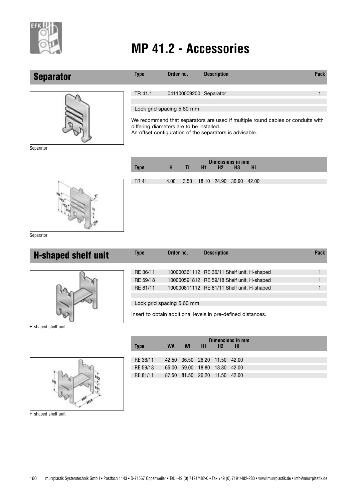

### **Separator**



**Type Order no.** Description **Description Pack** TR 41.1 041100009200 Separator 1

Lock grid spacing 5.60 mm

We recommend that separators are used if multiple round cables or conduits with differing diameters are to be installed.

An offset configuration of the separators is advisable.

Separator

|             | н    |              |                         | H2 | <b>Dimensions in mm</b><br>H <sub>3</sub> | HI |
|-------------|------|--------------|-------------------------|----|-------------------------------------------|----|
| <b>Type</b> |      | $\mathbf{I}$ | H1                      |    |                                           |    |
| <b>TR41</b> | 4.00 | 3.50         | 18.10 24.90 30.90 42.00 |    |                                           |    |
|             |      |              |                         |    |                                           |    |
|             |      |              |                         |    |                                           |    |
|             |      |              |                         |    |                                           |    |
|             |      |              |                         |    |                                           |    |
|             |      |              |                         |    |                                           |    |

Separator

| <b>H-shaped shelf unit</b> | Type     | Order no. | <b>Description</b>                         | <b>Pack</b> |
|----------------------------|----------|-----------|--------------------------------------------|-------------|
|                            | RE 36/11 |           | 100000361112 RE 36/11 Shelf unit, H-shaped |             |
|                            | RE 59/18 |           | 100000591812 RE 59/18 Shelf unit, H-shaped |             |
|                            | RE 81/11 |           | 100000811112 RE 81/11 Shelf unit, H-shaped |             |
|                            |          |           |                                            |             |

#### Lock grid spacing 5.60 mm

Insert to obtain additional levels in pre-defined distances.

H-shaped shelf unit



**Dimensions in mm Type WA WI H1 H2 HI** RE 36/11 42.50 36.50 26.20 11.50 42.00 RE 59/18 65.00 59.00 18.80 18.80 42.00 RE 81/11 87.50 81.50 26.20 11.50 42.00

H-shaped shelf unit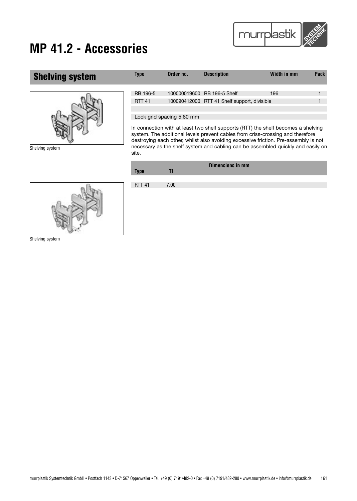

## **Shelving system Type Order no. Description Width in mm Pack** RB 196-5 100000019600 RB 196-5 Shelf 196 196 196 196 196 RTT 41 100090412000 RTT 41 Shelf support, divisible Lock grid spacing 5.60 mm

In connection with at least two shelf supports (RTT) the shelf becomes a shelving system. The additional levels prevent cables from criss-crossing and therefore destroying each other, whilst also avoiding excessive friction. Pre-assembly is not necessary as the shelf system and cabling can be assembled quickly and easily on site.

| <b>Type</b>   |                   | Dimensions in mm |
|---------------|-------------------|------------------|
| <b>RTT 41</b> | 7.00 <sub>1</sub> |                  |





Shelving system

Shelving system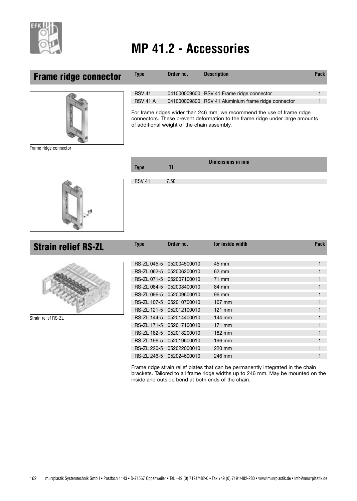

### **Frame ridge connector**



Frame ridge connector

| <b>RSV 41</b>                                                                        |  | 041000009600 RSV 41 Frame ridge connector           |  |  |  |  |
|--------------------------------------------------------------------------------------|--|-----------------------------------------------------|--|--|--|--|
| <b>RSV 41 A</b>                                                                      |  | 041000009800 RSV 41 Aluminium frame ridge connector |  |  |  |  |
| $\Gamma$ ar frama ridara widar than $\Omega$ mm, we recommend the use of frame ridge |  |                                                     |  |  |  |  |

**Type Order no.** Description **Description Pack** 

For frame ridges wider than 246 mm, we recommend the use of frame ridge connectors. These prevent deformation to the frame ridge under large amounts of additional weight of the chain assembly.

**Dimensions in mm**

| <b>Type</b>   | TI   | ____________________ |
|---------------|------|----------------------|
|               |      |                      |
| <b>RSV 41</b> | 7.50 |                      |
|               |      |                      |
|               |      |                      |
|               |      |                      |
|               |      |                      |
|               |      |                      |

**Strain relief RS-ZL**



Strain relief RS-ZL

|                    | RS-ZL 045-5 052004500010 | 45 mm            | 1 |
|--------------------|--------------------------|------------------|---|
|                    | RS-ZL 062-5 052006200010 | $62 \text{ mm}$  | 1 |
|                    | RS-ZL 071-5 052007100010 | 71 mm            | 1 |
|                    | RS-ZL 084-5 052008400010 | 84 mm            | 1 |
|                    | RS-ZL 096-5 052009600010 | 96 mm            | 1 |
|                    | RS-ZL 107-5 052010700010 | $107$ mm         | 1 |
|                    | RS-ZL 121-5 052012100010 | $121 \text{ mm}$ | 1 |
|                    | RS-ZL 144-5 052014400010 | 144 mm           | 1 |
|                    | RS-ZL 171-5 052017100010 | 171 mm           | 1 |
| <b>RS-ZL 182-5</b> | 052018200010             | 182 mm           | 1 |
|                    | RS-ZL 196-5 052019600010 | 196 mm           | 1 |
|                    | RS-ZL 220-5 052022000010 | 220 mm           |   |
|                    | RS-ZL 246-5 052024600010 | 246 mm           |   |

**Type Order no. for inside width Type Construction Construction Construction Construction Construction Construction Construction Construction Construction Construction Construction Construction Construction Construction** 

Frame ridge strain relief plates that can be permanently integrated in the chain brackets. Tailored to all frame ridge widths up to 246 mm. May be mounted on the inside and outside bend at both ends of the chain.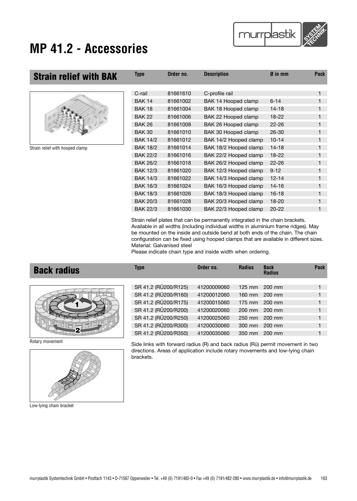

| <b>Strain relief with BAK</b>   | <b>Type</b>     | Order no. | <b>Description</b>    | $\boldsymbol{\emptyset}$ in mm | <b>Pack</b> |
|---------------------------------|-----------------|-----------|-----------------------|--------------------------------|-------------|
|                                 | C-rail          | 81661610  | C-profile rail        |                                |             |
|                                 | <b>BAK 14</b>   | 81661002  | BAK 14 Hooped clamp   | $6 - 14$                       |             |
|                                 | <b>BAK 18</b>   | 81661004  | BAK 18 Hooped clamp   | $14 - 18$                      |             |
|                                 | <b>BAK 22</b>   | 81661006  | BAK 22 Hooped clamp   | $18 - 22$                      |             |
|                                 | <b>BAK 26</b>   | 81661008  | BAK 26 Hooped clamp   | $22 - 26$                      |             |
|                                 | <b>BAK 30</b>   | 81661010  | BAK 30 Hooped clamp   | 26-30                          |             |
|                                 | <b>BAK 14/2</b> | 81661012  | BAK 14/2 Hooped clamp | $10 - 14$                      |             |
| Strain relief with hooped clamp | <b>BAK 18/2</b> | 81661014  | BAK 18/2 Hooped clamp | $14 - 18$                      |             |
|                                 | <b>BAK 22/2</b> | 81661016  | BAK 22/2 Hooped clamp | 18-22                          |             |
|                                 | <b>BAK 26/2</b> | 81661018  | BAK 26/2 Hooped clamp | $22 - 26$                      |             |
|                                 | <b>BAK 12/3</b> | 81661020  | BAK 12/3 Hooped clamp | $9 - 12$                       |             |
|                                 | <b>BAK 14/3</b> | 81661022  | BAK 14/3 Hooped clamp | $12 - 14$                      |             |
|                                 | <b>BAK 16/3</b> | 81661024  | BAK 16/3 Hooped clamp | $14 - 16$                      |             |
|                                 | <b>BAK 18/3</b> | 81661026  | BAK 18/3 Hooped clamp | $16 - 18$                      |             |
|                                 | <b>BAK 20/3</b> | 81661028  | BAK 20/3 Hooped clamp | $18 - 20$                      |             |
|                                 | <b>BAK 22/3</b> | 81661030  | BAK 22/3 Hooped clamp | $20 - 22$                      |             |

Strain relief plates that can be permanently integrated in the chain brackets. Available in all widths (including individual widths in aluminium frame ridges). May be mounted on the inside and outside bend at both ends of the chain. The chain configuration can be fixed using hooped clamps that are available in different sizes. Material: Galvanised steel

Please indicate chain type and inside width when ordering.

| <b>Back radius</b> | <b>Type</b>          | Order no.   | <b>Radius</b>    | <b>Back</b><br><b>Radius</b> | Pack |
|--------------------|----------------------|-------------|------------------|------------------------------|------|
|                    | SR 41.2 (RÜ200/R125) | 41200009060 | $125$ mm         | 200 mm                       |      |
|                    | SR 41.2 (RÜ200/R160) | 41200012060 |                  | 160 mm 200 mm                |      |
|                    | SR 41.2 (RÜ200/R175) | 41200015060 | $175 \text{ mm}$ | 200 mm                       |      |
|                    | SR 41.2 (RÜ200/R200) | 41200020060 |                  | 200 mm 200 mm                | 1    |
|                    | SR 41.2 (RÜ200/R250) | 41200025060 | 250 mm           | 200 mm                       |      |
|                    | SR 41.2 (RÜ200/R300) | 41200030060 | $300$ mm         | 200 mm                       |      |
|                    | SR 41.2 (RÜ200/R350) | 41200035060 | 350 mm           | 200 mm                       |      |

Rotary movement



Low-lying chain bracket

Side links with forward radius (R) and back radius (Rü) permit movement in two directions. Areas of application include rotary movements and low-lying chain brackets.